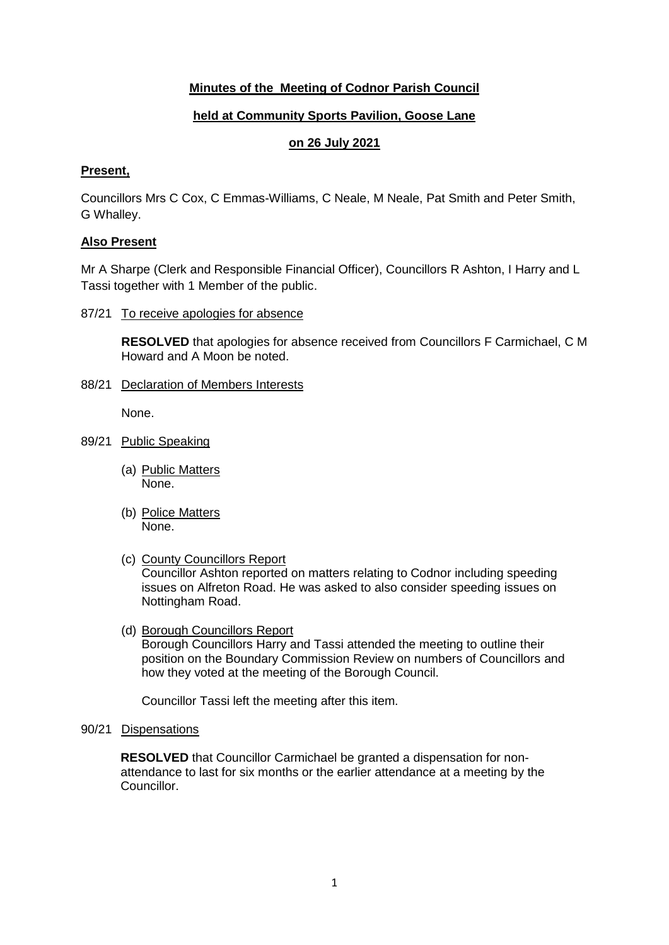# **Minutes of the Meeting of Codnor Parish Council**

# **held at Community Sports Pavilion, Goose Lane**

# **on 26 July 2021**

### **Present,**

Councillors Mrs C Cox, C Emmas-Williams, C Neale, M Neale, Pat Smith and Peter Smith, G Whalley.

## **Also Present**

Mr A Sharpe (Clerk and Responsible Financial Officer), Councillors R Ashton, I Harry and L Tassi together with 1 Member of the public.

87/21 To receive apologies for absence

**RESOLVED** that apologies for absence received from Councillors F Carmichael, C M Howard and A Moon be noted.

88/21 Declaration of Members Interests

None.

- 89/21 Public Speaking
	- (a) Public Matters None.
	- (b) Police Matters None.
	- (c) County Councillors Report

Councillor Ashton reported on matters relating to Codnor including speeding issues on Alfreton Road. He was asked to also consider speeding issues on Nottingham Road.

(d) Borough Councillors Report Borough Councillors Harry and Tassi attended the meeting to outline their position on the Boundary Commission Review on numbers of Councillors and how they voted at the meeting of the Borough Council.

Councillor Tassi left the meeting after this item.

90/21 Dispensations

**RESOLVED** that Councillor Carmichael be granted a dispensation for nonattendance to last for six months or the earlier attendance at a meeting by the Councillor.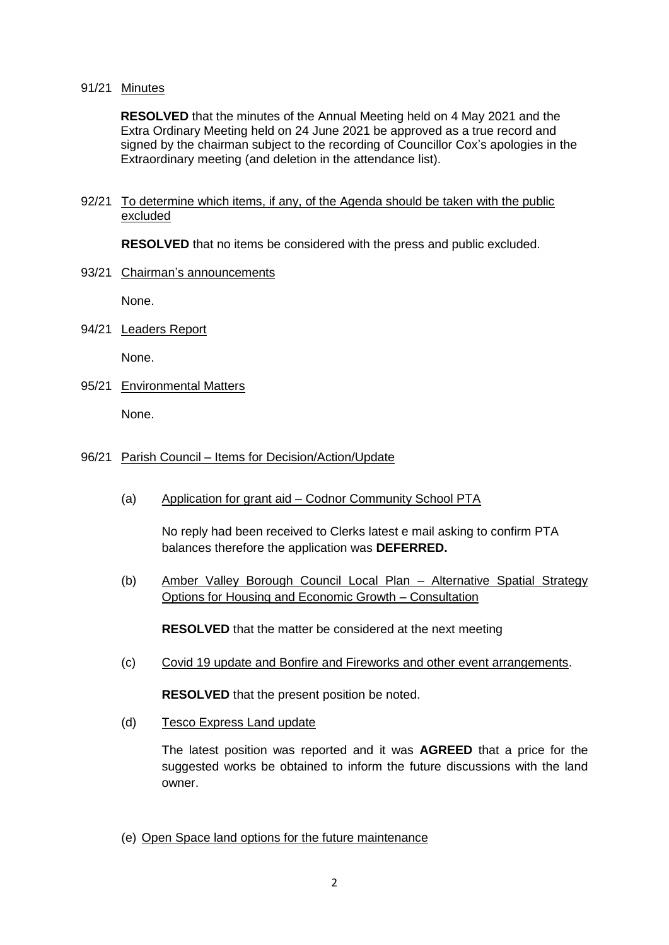#### 91/21 Minutes

**RESOLVED** that the minutes of the Annual Meeting held on 4 May 2021 and the Extra Ordinary Meeting held on 24 June 2021 be approved as a true record and signed by the chairman subject to the recording of Councillor Cox's apologies in the Extraordinary meeting (and deletion in the attendance list).

#### 92/21 To determine which items, if any, of the Agenda should be taken with the public excluded

**RESOLVED** that no items be considered with the press and public excluded.

## 93/21 Chairman's announcements

None.

94/21 Leaders Report

None.

95/21 Environmental Matters

None.

## 96/21 Parish Council – Items for Decision/Action/Update

(a) Application for grant aid – Codnor Community School PTA

No reply had been received to Clerks latest e mail asking to confirm PTA balances therefore the application was **DEFERRED.**

(b) Amber Valley Borough Council Local Plan – Alternative Spatial Strategy Options for Housing and Economic Growth – Consultation

**RESOLVED** that the matter be considered at the next meeting

(c) Covid 19 update and Bonfire and Fireworks and other event arrangements.

**RESOLVED** that the present position be noted.

(d) Tesco Express Land update

The latest position was reported and it was **AGREED** that a price for the suggested works be obtained to inform the future discussions with the land owner.

(e) Open Space land options for the future maintenance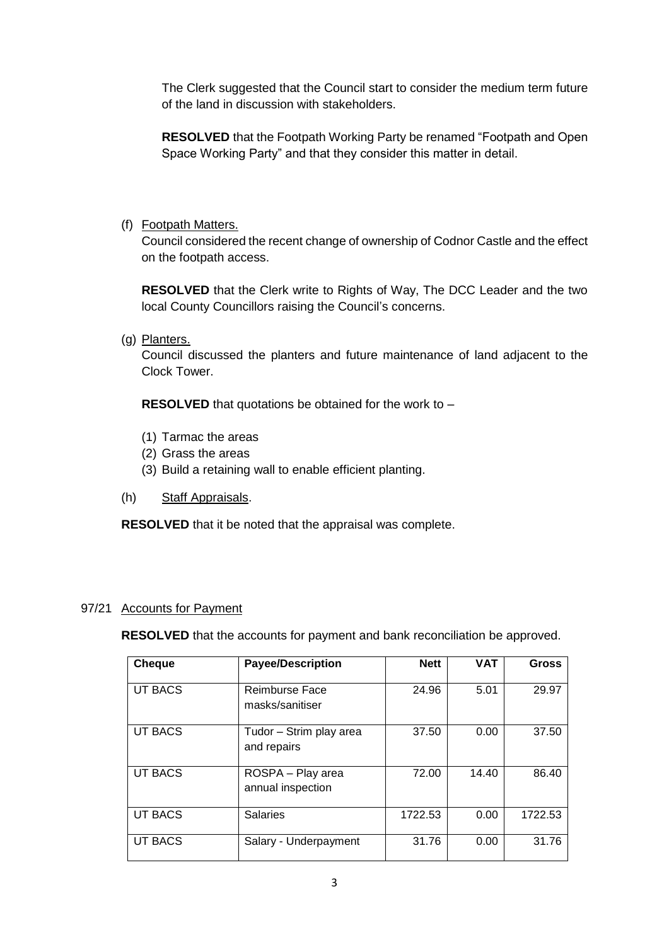The Clerk suggested that the Council start to consider the medium term future of the land in discussion with stakeholders.

**RESOLVED** that the Footpath Working Party be renamed "Footpath and Open Space Working Party" and that they consider this matter in detail.

(f) Footpath Matters.

Council considered the recent change of ownership of Codnor Castle and the effect on the footpath access.

**RESOLVED** that the Clerk write to Rights of Way, The DCC Leader and the two local County Councillors raising the Council's concerns.

(g) Planters.

Council discussed the planters and future maintenance of land adjacent to the Clock Tower.

**RESOLVED** that quotations be obtained for the work to –

- (1) Tarmac the areas
- (2) Grass the areas
- (3) Build a retaining wall to enable efficient planting.
- (h) Staff Appraisals.

**RESOLVED** that it be noted that the appraisal was complete.

## 97/21 Accounts for Payment

**RESOLVED** that the accounts for payment and bank reconciliation be approved.

| <b>Cheque</b>  | <b>Payee/Description</b>               | <b>Nett</b> | <b>VAT</b> | <b>Gross</b> |
|----------------|----------------------------------------|-------------|------------|--------------|
| <b>UT BACS</b> | Reimburse Face<br>masks/sanitiser      | 24.96       | 5.01       | 29.97        |
| UT BACS        | Tudor - Strim play area<br>and repairs | 37.50       | 0.00       | 37.50        |
| <b>UT BACS</b> | ROSPA - Play area<br>annual inspection | 72.00       | 14.40      | 86.40        |
| UT BACS        | <b>Salaries</b>                        | 1722.53     | 0.00       | 1722.53      |
| UT BACS        | Salary - Underpayment                  | 31.76       | 0.00       | 31.76        |